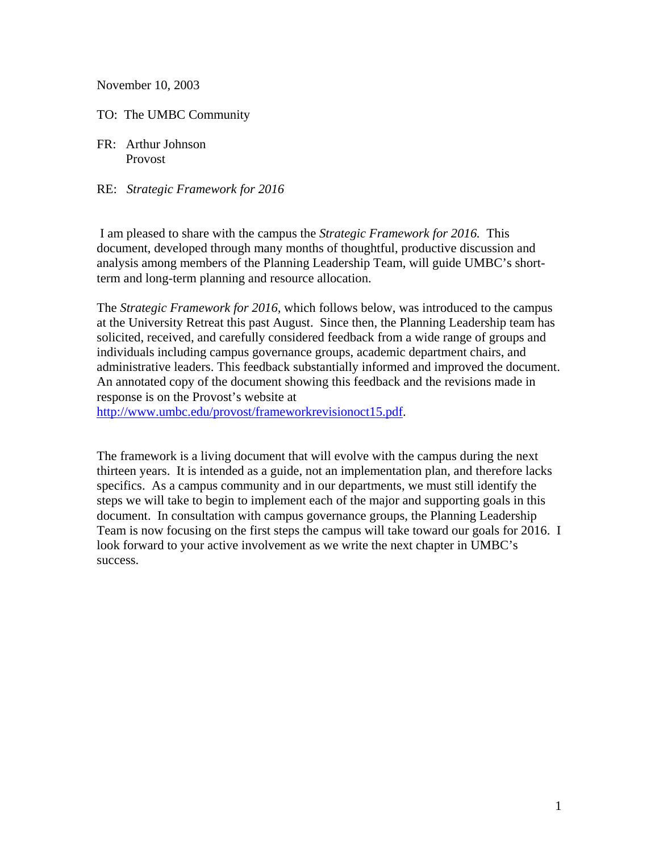November 10, 2003

TO: The UMBC Community

- FR: Arthur Johnson Provost
- RE: *Strategic Framework for 2016*

 I am pleased to share with the campus the *Strategic Framework for 2016.* This document, developed through many months of thoughtful, productive discussion and analysis among members of the Planning Leadership Team, will guide UMBC's shortterm and long-term planning and resource allocation.

The *Strategic Framework for 2016,* which follows below, was introduced to the campus at the University Retreat this past August. Since then, the Planning Leadership team has solicited, received, and carefully considered feedback from a wide range of groups and individuals including campus governance groups, academic department chairs, and administrative leaders. This feedback substantially informed and improved the document. An annotated copy of the document showing this feedback and the revisions made in response is on the Provost's website at

<http://www.umbc.edu/provost/frameworkrevisionoct15.pdf>.

The framework is a living document that will evolve with the campus during the next thirteen years. It is intended as a guide, not an implementation plan, and therefore lacks specifics. As a campus community and in our departments, we must still identify the steps we will take to begin to implement each of the major and supporting goals in this document. In consultation with campus governance groups, the Planning Leadership Team is now focusing on the first steps the campus will take toward our goals for 2016. I look forward to your active involvement as we write the next chapter in UMBC's success.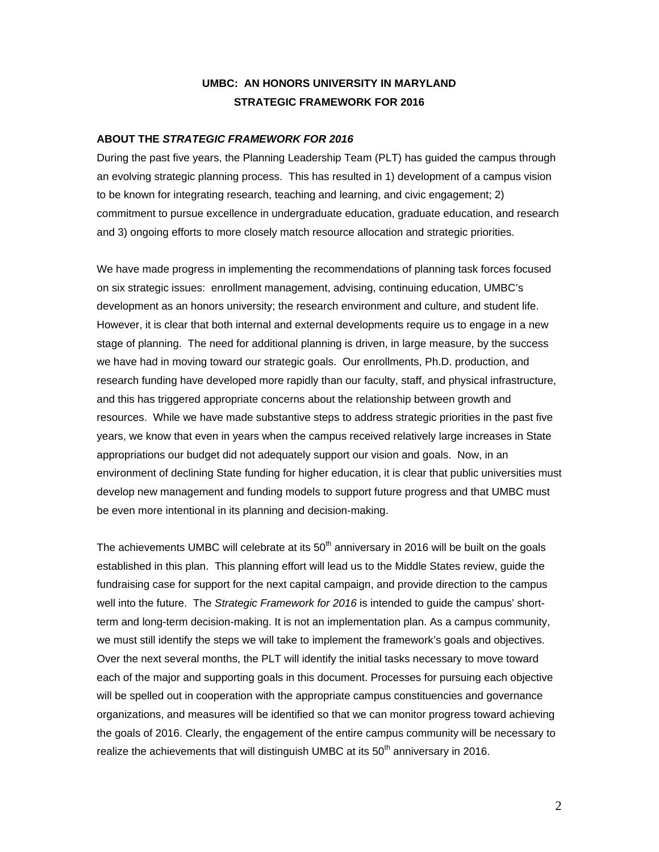# **UMBC: AN HONORS UNIVERSITY IN MARYLAND STRATEGIC FRAMEWORK FOR 2016**

#### **ABOUT THE** *STRATEGIC FRAMEWORK FOR 2016*

During the past five years, the Planning Leadership Team (PLT) has guided the campus through an evolving strategic planning process. This has resulted in 1) development of a campus vision to be known for integrating research, teaching and learning, and civic engagement; 2) commitment to pursue excellence in undergraduate education, graduate education, and research and 3) ongoing efforts to more closely match resource allocation and strategic priorities.

We have made progress in implementing the recommendations of planning task forces focused on six strategic issues: enrollment management, advising, continuing education, UMBC's development as an honors university; the research environment and culture, and student life. However, it is clear that both internal and external developments require us to engage in a new stage of planning. The need for additional planning is driven, in large measure, by the success we have had in moving toward our strategic goals. Our enrollments, Ph.D. production, and research funding have developed more rapidly than our faculty, staff, and physical infrastructure, and this has triggered appropriate concerns about the relationship between growth and resources. While we have made substantive steps to address strategic priorities in the past five years, we know that even in years when the campus received relatively large increases in State appropriations our budget did not adequately support our vision and goals. Now, in an environment of declining State funding for higher education, it is clear that public universities must develop new management and funding models to support future progress and that UMBC must be even more intentional in its planning and decision-making.

The achievements UMBC will celebrate at its  $50<sup>th</sup>$  anniversary in 2016 will be built on the goals established in this plan. This planning effort will lead us to the Middle States review, guide the fundraising case for support for the next capital campaign, and provide direction to the campus well into the future. The *Strategic Framework for 2016* is intended to guide the campus' shortterm and long-term decision-making. It is not an implementation plan. As a campus community, we must still identify the steps we will take to implement the framework's goals and objectives. Over the next several months, the PLT will identify the initial tasks necessary to move toward each of the major and supporting goals in this document. Processes for pursuing each objective will be spelled out in cooperation with the appropriate campus constituencies and governance organizations, and measures will be identified so that we can monitor progress toward achieving the goals of 2016. Clearly, the engagement of the entire campus community will be necessary to realize the achievements that will distinguish UMBC at its  $50<sup>th</sup>$  anniversary in 2016.

2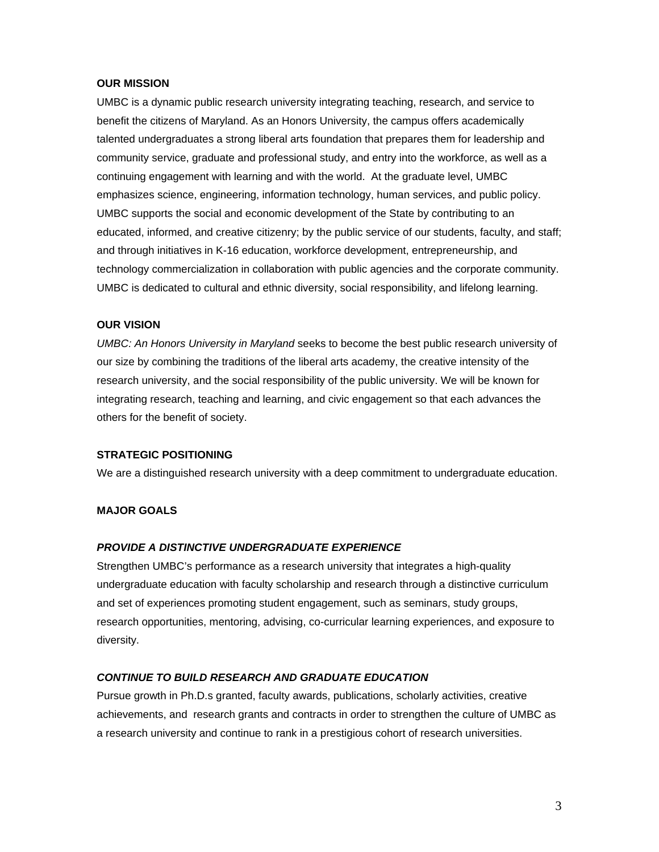# **OUR MISSION**

UMBC is a dynamic public research university integrating teaching, research, and service to benefit the citizens of Maryland. As an Honors University, the campus offers academically talented undergraduates a strong liberal arts foundation that prepares them for leadership and community service, graduate and professional study, and entry into the workforce, as well as a continuing engagement with learning and with the world. At the graduate level, UMBC emphasizes science, engineering, information technology, human services, and public policy. UMBC supports the social and economic development of the State by contributing to an educated, informed, and creative citizenry; by the public service of our students, faculty, and staff; and through initiatives in K-16 education, workforce development, entrepreneurship, and technology commercialization in collaboration with public agencies and the corporate community. UMBC is dedicated to cultural and ethnic diversity, social responsibility, and lifelong learning.

#### **OUR VISION**

*UMBC: An Honors University in Maryland* seeks to become the best public research university of our size by combining the traditions of the liberal arts academy, the creative intensity of the research university, and the social responsibility of the public university. We will be known for integrating research, teaching and learning, and civic engagement so that each advances the others for the benefit of society.

#### **STRATEGIC POSITIONING**

We are a distinguished research university with a deep commitment to undergraduate education.

# **MAJOR GOALS**

## *PROVIDE A DISTINCTIVE UNDERGRADUATE EXPERIENCE*

Strengthen UMBC's performance as a research university that integrates a high-quality undergraduate education with faculty scholarship and research through a distinctive curriculum and set of experiences promoting student engagement, such as seminars, study groups, research opportunities, mentoring, advising, co-curricular learning experiences, and exposure to diversity.

## *CONTINUE TO BUILD RESEARCH AND GRADUATE EDUCATION*

Pursue growth in Ph.D.s granted, faculty awards, publications, scholarly activities, creative achievements, and research grants and contracts in order to strengthen the culture of UMBC as a research university and continue to rank in a prestigious cohort of research universities.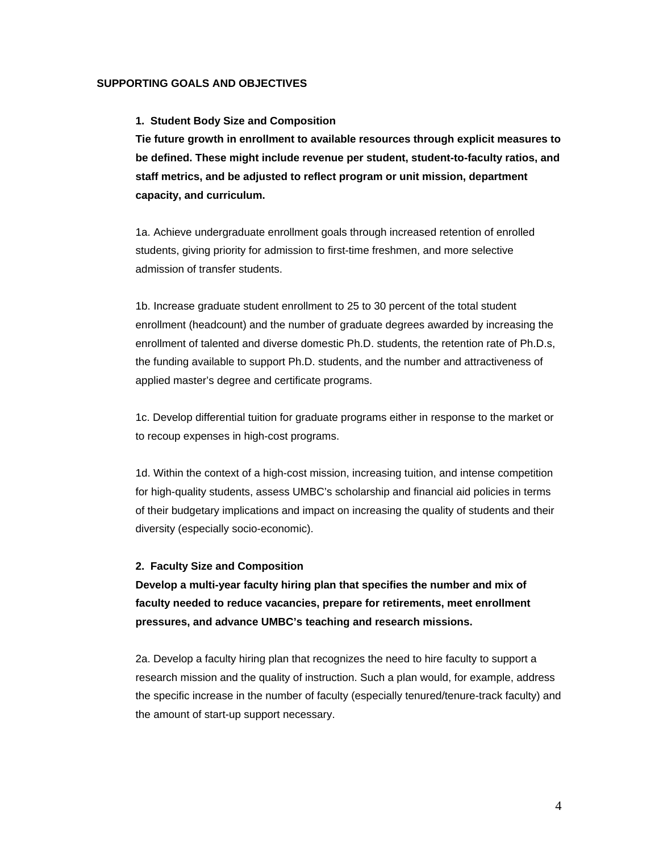# **SUPPORTING GOALS AND OBJECTIVES**

#### **1. Student Body Size and Composition**

**Tie future growth in enrollment to available resources through explicit measures to be defined. These might include revenue per student, student-to-faculty ratios, and staff metrics, and be adjusted to reflect program or unit mission, department capacity, and curriculum.** 

1a. Achieve undergraduate enrollment goals through increased retention of enrolled students, giving priority for admission to first-time freshmen, and more selective admission of transfer students.

1b. Increase graduate student enrollment to 25 to 30 percent of the total student enrollment (headcount) and the number of graduate degrees awarded by increasing the enrollment of talented and diverse domestic Ph.D. students, the retention rate of Ph.D.s, the funding available to support Ph.D. students, and the number and attractiveness of applied master's degree and certificate programs.

1c. Develop differential tuition for graduate programs either in response to the market or to recoup expenses in high-cost programs.

1d. Within the context of a high-cost mission, increasing tuition, and intense competition for high-quality students, assess UMBC's scholarship and financial aid policies in terms of their budgetary implications and impact on increasing the quality of students and their diversity (especially socio-economic).

#### **2. Faculty Size and Composition**

**Develop a multi-year faculty hiring plan that specifies the number and mix of faculty needed to reduce vacancies, prepare for retirements, meet enrollment pressures, and advance UMBC's teaching and research missions.** 

2a. Develop a faculty hiring plan that recognizes the need to hire faculty to support a research mission and the quality of instruction. Such a plan would, for example, address the specific increase in the number of faculty (especially tenured/tenure-track faculty) and the amount of start-up support necessary.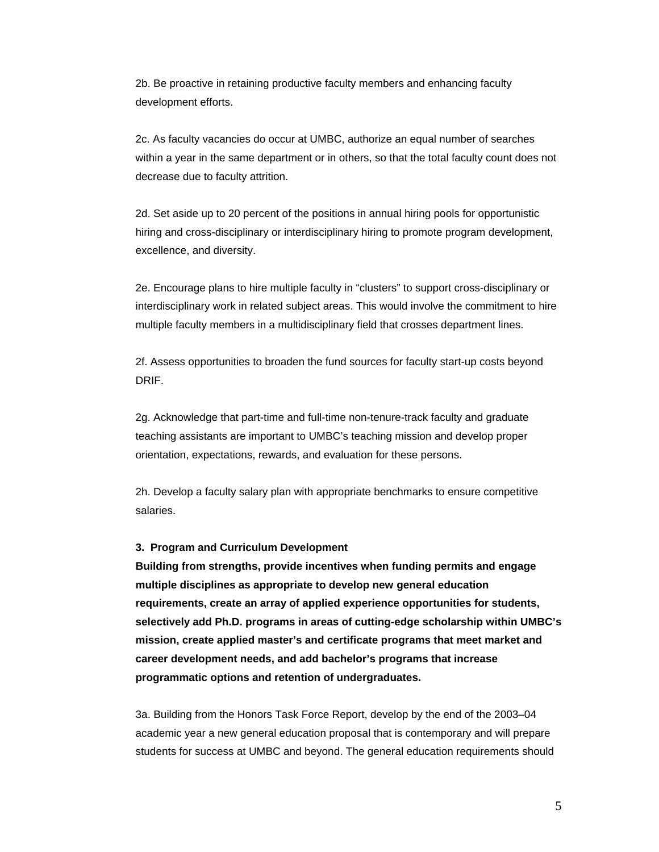2b. Be proactive in retaining productive faculty members and enhancing faculty development efforts.

2c. As faculty vacancies do occur at UMBC, authorize an equal number of searches within a year in the same department or in others, so that the total faculty count does not decrease due to faculty attrition.

2d. Set aside up to 20 percent of the positions in annual hiring pools for opportunistic hiring and cross-disciplinary or interdisciplinary hiring to promote program development, excellence, and diversity.

2e. Encourage plans to hire multiple faculty in "clusters" to support cross-disciplinary or interdisciplinary work in related subject areas. This would involve the commitment to hire multiple faculty members in a multidisciplinary field that crosses department lines.

2f. Assess opportunities to broaden the fund sources for faculty start-up costs beyond DRIF.

2g. Acknowledge that part-time and full-time non-tenure-track faculty and graduate teaching assistants are important to UMBC's teaching mission and develop proper orientation, expectations, rewards, and evaluation for these persons.

2h. Develop a faculty salary plan with appropriate benchmarks to ensure competitive salaries.

#### **3. Program and Curriculum Development**

**Building from strengths, provide incentives when funding permits and engage multiple disciplines as appropriate to develop new general education requirements, create an array of applied experience opportunities for students, selectively add Ph.D. programs in areas of cutting-edge scholarship within UMBC's mission, create applied master's and certificate programs that meet market and career development needs, and add bachelor's programs that increase programmatic options and retention of undergraduates.** 

3a. Building from the Honors Task Force Report, develop by the end of the 2003–04 academic year a new general education proposal that is contemporary and will prepare students for success at UMBC and beyond. The general education requirements should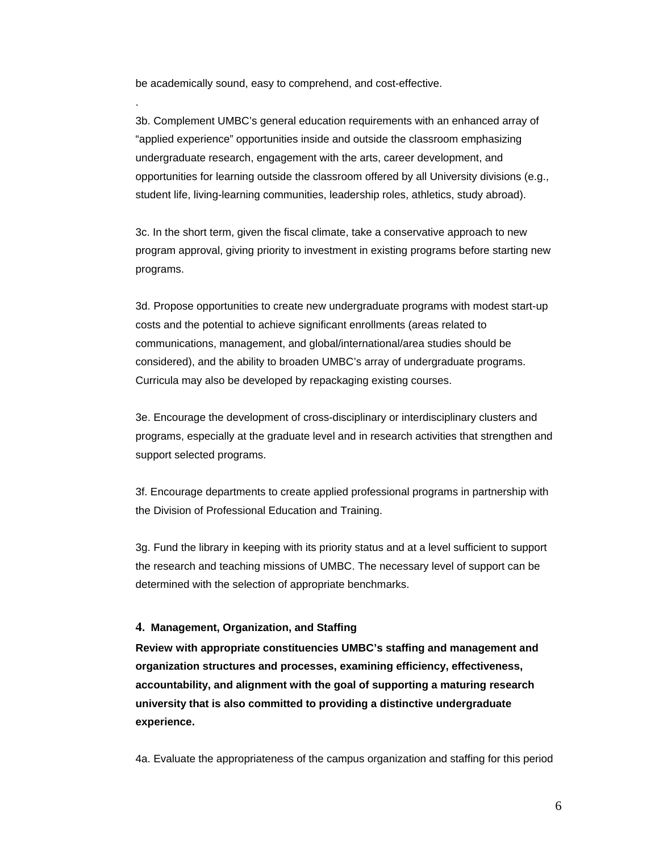be academically sound, easy to comprehend, and cost-effective.

.

3b. Complement UMBC's general education requirements with an enhanced array of "applied experience" opportunities inside and outside the classroom emphasizing undergraduate research, engagement with the arts, career development, and opportunities for learning outside the classroom offered by all University divisions (e.g., student life, living-learning communities, leadership roles, athletics, study abroad).

3c. In the short term, given the fiscal climate, take a conservative approach to new program approval, giving priority to investment in existing programs before starting new programs.

3d. Propose opportunities to create new undergraduate programs with modest start-up costs and the potential to achieve significant enrollments (areas related to communications, management, and global/international/area studies should be considered), and the ability to broaden UMBC's array of undergraduate programs. Curricula may also be developed by repackaging existing courses.

3e. Encourage the development of cross-disciplinary or interdisciplinary clusters and programs, especially at the graduate level and in research activities that strengthen and support selected programs.

3f. Encourage departments to create applied professional programs in partnership with the Division of Professional Education and Training.

3g. Fund the library in keeping with its priority status and at a level sufficient to support the research and teaching missions of UMBC. The necessary level of support can be determined with the selection of appropriate benchmarks.

# **4. Management, Organization, and Staffing**

**Review with appropriate constituencies UMBC's staffing and management and organization structures and processes, examining efficiency, effectiveness, accountability, and alignment with the goal of supporting a maturing research university that is also committed to providing a distinctive undergraduate experience.** 

4a. Evaluate the appropriateness of the campus organization and staffing for this period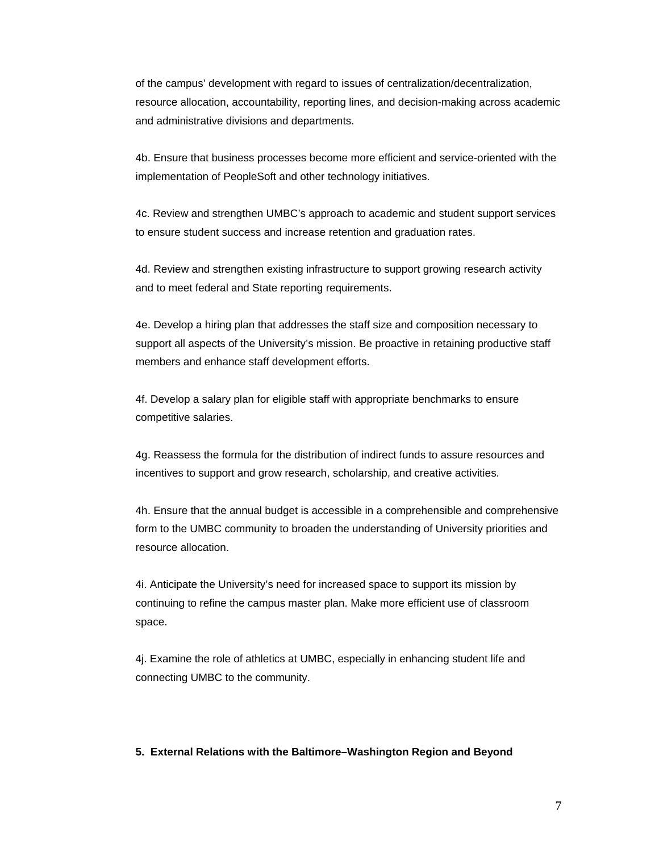of the campus' development with regard to issues of centralization/decentralization, resource allocation, accountability, reporting lines, and decision-making across academic and administrative divisions and departments.

4b. Ensure that business processes become more efficient and service-oriented with the implementation of PeopleSoft and other technology initiatives.

4c. Review and strengthen UMBC's approach to academic and student support services to ensure student success and increase retention and graduation rates.

4d. Review and strengthen existing infrastructure to support growing research activity and to meet federal and State reporting requirements.

4e. Develop a hiring plan that addresses the staff size and composition necessary to support all aspects of the University's mission. Be proactive in retaining productive staff members and enhance staff development efforts.

4f. Develop a salary plan for eligible staff with appropriate benchmarks to ensure competitive salaries.

4g. Reassess the formula for the distribution of indirect funds to assure resources and incentives to support and grow research, scholarship, and creative activities.

4h. Ensure that the annual budget is accessible in a comprehensible and comprehensive form to the UMBC community to broaden the understanding of University priorities and resource allocation.

4i. Anticipate the University's need for increased space to support its mission by continuing to refine the campus master plan. Make more efficient use of classroom space.

4j. Examine the role of athletics at UMBC, especially in enhancing student life and connecting UMBC to the community.

# **5. External Relations with the Baltimore–Washington Region and Beyond**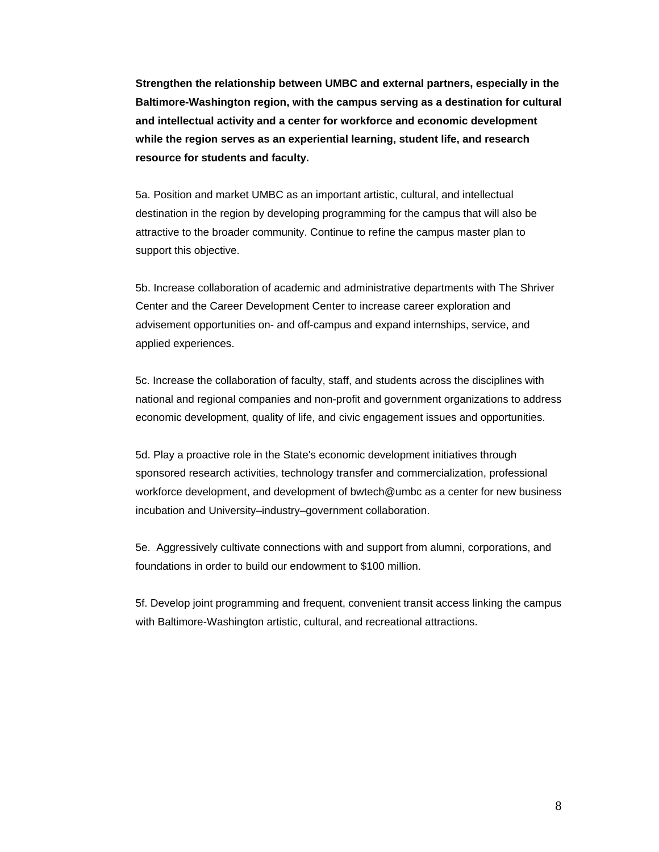**Strengthen the relationship between UMBC and external partners, especially in the Baltimore-Washington region, with the campus serving as a destination for cultural and intellectual activity and a center for workforce and economic development while the region serves as an experiential learning, student life, and research resource for students and faculty.**

5a. Position and market UMBC as an important artistic, cultural, and intellectual destination in the region by developing programming for the campus that will also be attractive to the broader community. Continue to refine the campus master plan to support this objective.

5b. Increase collaboration of academic and administrative departments with The Shriver Center and the Career Development Center to increase career exploration and advisement opportunities on- and off-campus and expand internships, service, and applied experiences.

5c. Increase the collaboration of faculty, staff, and students across the disciplines with national and regional companies and non-profit and government organizations to address economic development, quality of life, and civic engagement issues and opportunities.

5d. Play a proactive role in the State's economic development initiatives through sponsored research activities, technology transfer and commercialization, professional workforce development, and development of bwtech@umbc as a center for new business incubation and University–industry–government collaboration.

5e. Aggressively cultivate connections with and support from alumni, corporations, and foundations in order to build our endowment to \$100 million.

5f. Develop joint programming and frequent, convenient transit access linking the campus with Baltimore-Washington artistic, cultural, and recreational attractions.